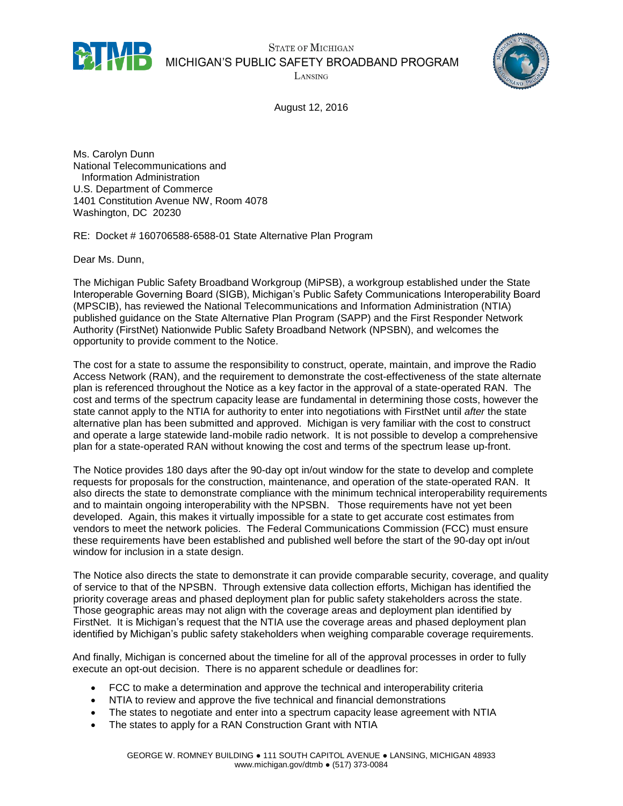

**STATE OF MICHIGAN** MICHIGAN'S PUBLIC SAFETY BROADBAND PROGRAM

LANSING



August 12, 2016

Ms. Carolyn Dunn National Telecommunications and Information Administration U.S. Department of Commerce 1401 Constitution Avenue NW, Room 4078 Washington, DC 20230

RE: Docket # 160706588-6588-01 State Alternative Plan Program

Dear Ms. Dunn,

The Michigan Public Safety Broadband Workgroup (MiPSB), a workgroup established under the State Interoperable Governing Board (SIGB), Michigan's Public Safety Communications Interoperability Board (MPSCIB), has reviewed the National Telecommunications and Information Administration (NTIA) published guidance on the State Alternative Plan Program (SAPP) and the First Responder Network Authority (FirstNet) Nationwide Public Safety Broadband Network (NPSBN), and welcomes the opportunity to provide comment to the Notice.

The cost for a state to assume the responsibility to construct, operate, maintain, and improve the Radio Access Network (RAN), and the requirement to demonstrate the cost-effectiveness of the state alternate plan is referenced throughout the Notice as a key factor in the approval of a state-operated RAN. The cost and terms of the spectrum capacity lease are fundamental in determining those costs, however the state cannot apply to the NTIA for authority to enter into negotiations with FirstNet until *after* the state alternative plan has been submitted and approved. Michigan is very familiar with the cost to construct and operate a large statewide land-mobile radio network. It is not possible to develop a comprehensive plan for a state-operated RAN without knowing the cost and terms of the spectrum lease up-front.

The Notice provides 180 days after the 90-day opt in/out window for the state to develop and complete requests for proposals for the construction, maintenance, and operation of the state-operated RAN. It also directs the state to demonstrate compliance with the minimum technical interoperability requirements and to maintain ongoing interoperability with the NPSBN. Those requirements have not yet been developed. Again, this makes it virtually impossible for a state to get accurate cost estimates from vendors to meet the network policies. The Federal Communications Commission (FCC) must ensure these requirements have been established and published well before the start of the 90-day opt in/out window for inclusion in a state design.

The Notice also directs the state to demonstrate it can provide comparable security, coverage, and quality of service to that of the NPSBN. Through extensive data collection efforts, Michigan has identified the priority coverage areas and phased deployment plan for public safety stakeholders across the state. Those geographic areas may not align with the coverage areas and deployment plan identified by FirstNet. It is Michigan's request that the NTIA use the coverage areas and phased deployment plan identified by Michigan's public safety stakeholders when weighing comparable coverage requirements.

And finally, Michigan is concerned about the timeline for all of the approval processes in order to fully execute an opt-out decision. There is no apparent schedule or deadlines for:

- FCC to make a determination and approve the technical and interoperability criteria
- NTIA to review and approve the five technical and financial demonstrations
- The states to negotiate and enter into a spectrum capacity lease agreement with NTIA
- The states to apply for a RAN Construction Grant with NTIA